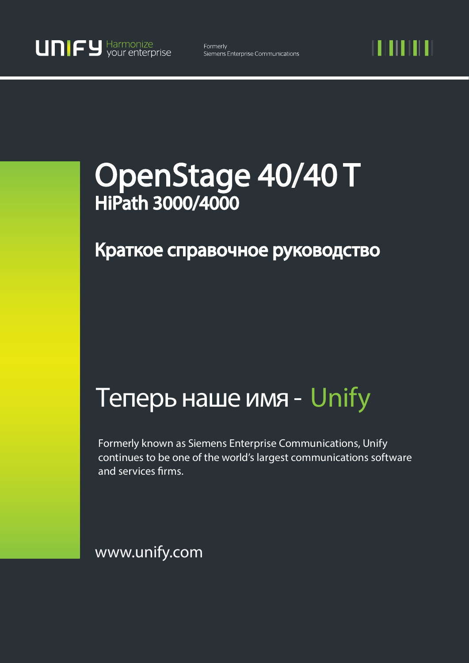11 I II I I I

# OpenStage 40/40 T HiPath 3000/4000

# Краткое справочное руководство

# Теперь наше имя - Unify

Formerly known as Siemens Enterprise Communications, Unify continues to be one of the world's largest communications software and services firms.

www.unify.com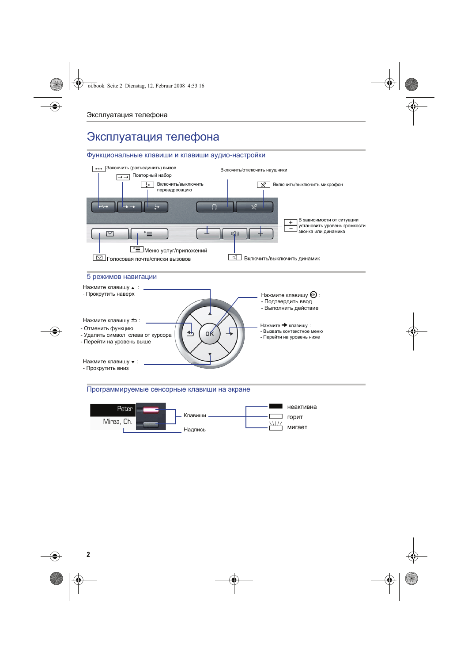# Эксплуатация телефона

## Функциональные клавиши и клавиши аудио-настройки



### Программируемые сенсорные клавиши на экране

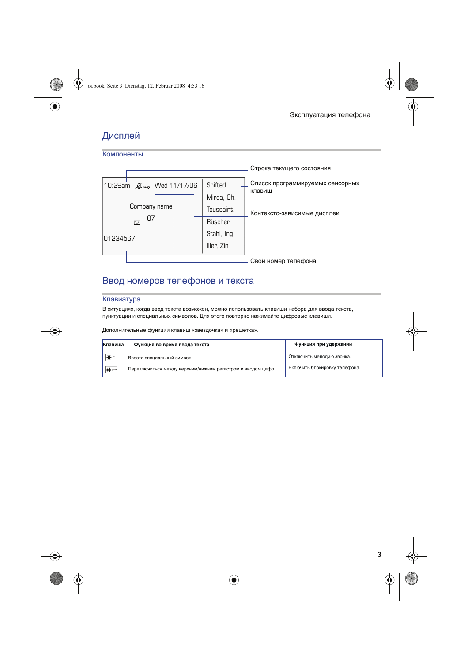## Дисплей

Компоненты

#### Строка текущего состояния Список программируемых сенсорных Shifted 10:29am Wed 11/17/06 клавиш Mirea, Ch. Company name Toussaint. Контексто-зависимые дисплеи 07 Ю. Rüscher Stahl, Ing 01234567 Iller, Zin Свой номер телефона

## Ввод номеров телефонов и текста

## Клавиатура

В ситуациях, когда ввод текста возможен, можно использовать клавиши набора для ввода текста, пунктуации и специальных символов. Для этого повторно нажимайте цифровые клавиши.

Дополнительные функции клавиш «звездочка» и «решетка».

| Клавиша               | Функция во время ввода текста                               | Функция при удержании         |
|-----------------------|-------------------------------------------------------------|-------------------------------|
| 1 ★ △                 | Ввести специальный символ                                   | Отключить мелодию звонка.     |
| $\left  \pm -\right $ | Переключиться между верхним/нижним регистром и вводом цифр. | Включить блокировку телефона. |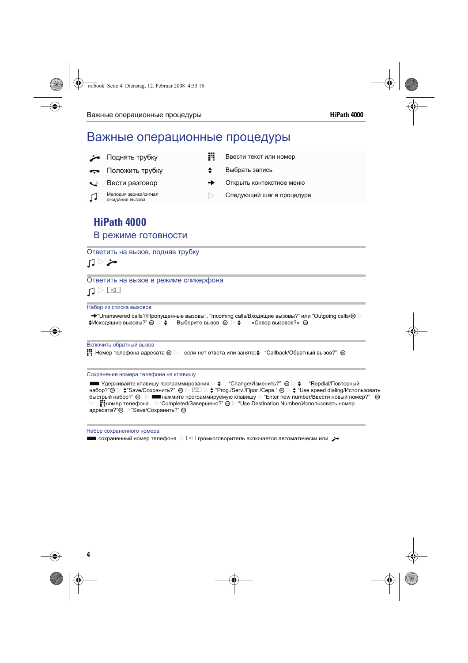# Важные операционные процедуры

- **Поднять трубку је јавести текст или номер**
- Положить трубку **f формать** выбрать запись
- 
- Мелодия звонка/сигнал<br>Ожидания вызова
- 
- 
- Вести разговор федеральное федеральное меню
	- $\triangleright$  Следующий шаг в процедуре

# **HiPath 4000**

## В режиме готовности

## Ответить на вызов, подняв трубку

## $\Box$

## Ответить на вызов в режиме спикерфона

```
\Box
```
#### Набор из списка вызовов

 $\rightarrow$  "Unanswered calls?/Пропущенные вызовы", "Incoming calls/Входящие вызовы?" или "Outgoing calls/ $\circledast$  $\clubsuit$ Исходящие вызовы?"  $\circledast \succ \clubsuit$  Выберите вызов  $\circledast \triangleright \spadesuit$  «Север вызовов?»  $\circledast$ 

### Включить обратный вызов

**H** Номер телефона адресата  $\circledast$   $\triangleright$  если нет ответа или занято: $\bullet$  "Callback/Обратный вызов?"  $\circledast$ 

#### Сохранение номера телефона на клавишу

 $\blacksquare$  Удерживайте клавишу программирования  $\rhd$   $\spadesuit$  "Change/Изменить?"  $\textcircled{\scriptsize{\textcircled{\#}}} \Rightarrow$  "Repdial/Повторный набор?" $\circledcirc \triangleright \bullet$  Save/Сохранить?"  $\circledcirc \triangleright \square \equiv \triangleright \bullet \square$ Ргод./Serv./Прог./Серв."  $\circledcirc \triangleright \bullet \square$  Use speed dialing/Использовать быстрый набор?"  $\circledast$   $\triangleright$   $\blacksquare$  нажмите программируемую клавишу  $\triangleright$  "Enter new number/Ввести новый номер?"  $\circledast$  $\blacksquare$ Номер телефона  $\triangleright$  "Completed/Завершено?"  $\odot \triangleright$  "Use Destination Number/Использовать номер адресата?"<sup>®</sup> > "Save/Сохранить?" <sup>®</sup>

#### Набор сохраненного номера  $\blacksquare$  сохраненный номер телефона  $\triangleright \boxdot$  громкоговоритель включается автоматически или  $\blacktriangleright$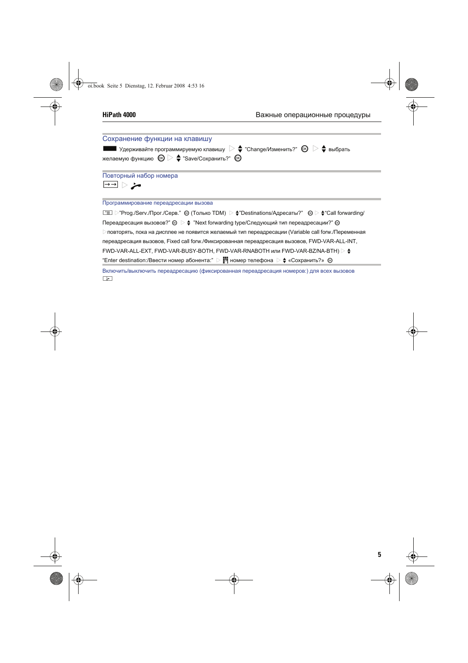

 $\boxed{\div}$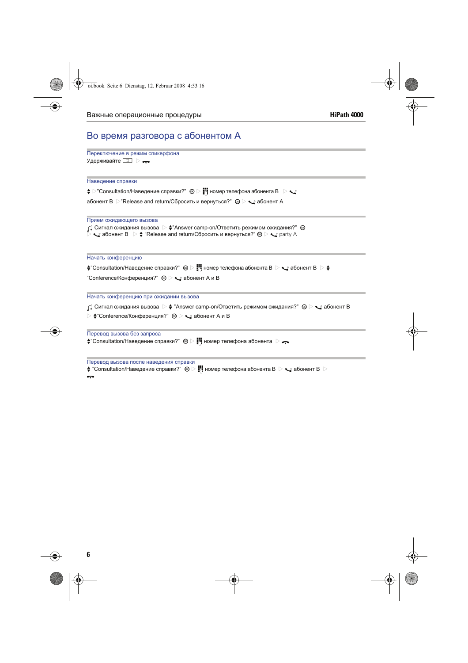# Во время разговора с абонентом А

| Переключение в режим спикерфона |  |
|---------------------------------|--|
| Удерживайте ⊡ ⊳ —               |  |

| Наведение справки                                                                                                                                                                                                                                                                                                                           |
|---------------------------------------------------------------------------------------------------------------------------------------------------------------------------------------------------------------------------------------------------------------------------------------------------------------------------------------------|
| $\clubsuit$ $\triangleright$ "Consultation/Наведение справки?" $\circledast$ $\triangleright$ $\blacksquare$ номер телефона абонента В $\triangleright$ $\blacktriangleright$                                                                                                                                                               |
| абонент В $\triangleright$ "Release and return/Сбросить и вернуться?" $\circledast \triangleright \bigtriangledown$ абонент А                                                                                                                                                                                                               |
| Прием ожидающего вызова<br>$\cap$ ] Сигнал ожидания вызова $\ \triangleright\ \clubsuit$ "Answer camp-on/Ответить режимом ожидания?" $\ \circledast\ }$<br>$\triangleright$ $\blacktriangleright$ абонент В $\triangleright$ $\blacklozenge$ "Release and return/Сбросить и вернуться?" $\otimes \triangleright \blacktriangleleft$ party A |
| Начать конференцию                                                                                                                                                                                                                                                                                                                          |
| ("Consultation/Наведение справки?" © >     номер телефона абонента В > $\text{Q}$ абонент В $\text{Q} \blacktriangleleft \#$                                                                                                                                                                                                                |
| "Conference/Конференция?" $\otimes \triangleright \bigtriangledown$ абонент А и В                                                                                                                                                                                                                                                           |
| Начать конференцию при ожидании вызова                                                                                                                                                                                                                                                                                                      |
| $\lrcorner$ ) Сигнал ожидания вызова $\triangleright\blacklozenge$ "Answer camp-on/Ответить режимом ожидания?" $\circledast\triangleright\blacklozenge$ абонент В                                                                                                                                                                           |
| ≥ $\blacktriangleright$ $\blacktriangleright$ "Conference/Конференция?" $\textcircled{\scriptsize{\otimes}}$ $\triangleright$ $\blacktriangleright$ абонент А и В                                                                                                                                                                           |
| Перевод вызова без запроса<br>$\clubsuit$ "Consultation/Наведение справки?" $\circledast$ $\triangleright$ $\bullet$ номер телефона абонента $\triangleright$ $\bullet$                                                                                                                                                                     |
| Перевод вызова после наведения справки                                                                                                                                                                                                                                                                                                      |
|                                                                                                                                                                                                                                                                                                                                             |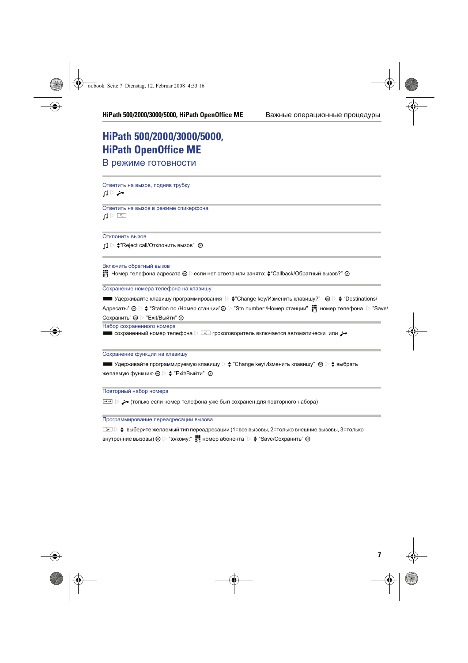# **HiPath 500/2000/3000/5000, HiPath OpenOffice ME**

В режиме готовности

Ответить на вызов, подняв трубку  $\Box$   $\rightarrow$ 

Ответить на вызов в режиме спикерфона  $\Box$ 

Отклонить вызов

 $\Box$   $\triangleright$   $\div$ "Reject call/Отклонить вызов"  $\circledcirc$ 

Включить обратный вызов

**ј Номер телефона адресата @**  ≥если нет ответа или занято:  $\div$  Callback/Обратный вызов?" @

Сохранение номера телефона на клавишу

 $\blacksquare$  Удерживайте клавишу программирования  $\triangleright \bigstar$ "Change key/Изменить клавишу?" "  $\circledcirc \triangleright \bigstar$  "Destinations/ Адресаты"  $\circledast \triangleright \clubsuit$  "Station no./Номер станции" $\circledast \triangleright$  "Stn number:/Номер станции"  $\bullet$  номер телефона  $\triangleright$  "Save/ Сохранить" <sup>®</sup> > "Exit/Выйти" <sup>®</sup> Набор сохраненного номера

 $\Box$  сохраненный номер телефона  $\triangleright \Box$  грокоговоритель включается автоматически или  $\rightarrow$ 

Сохранение функции на клавишу

**SUPER STARS SUPPRESS SYSTEM** YARD STARS THE VIRGINITY  $\Rightarrow$   $\bullet$  "Change key/Изменить клавишу"  $\circledast$   $\Rightarrow$  выбрать желаемую функцию  $\circledast$   $\blacktriangleright$   $\triangleq$  "Exit/Выйти"  $\circledast$ 

Повторный набор номера

 $\rightarrow$  (только если номер телефона уже был сохранен для повторного набора)

Программирование переадресации вызова

 $\boxed{P}$   $\geq$  выберите желаемый тип переадресации (1=все вызовы, 2=только внешние вызовы, 3=только внутренние вызовы)  $\circledast$  > "to/кому:"  $\bullet$  номер абонента  $\circlearrowright$   $\bullet$  "Save/Сохранить"  $\circledast$